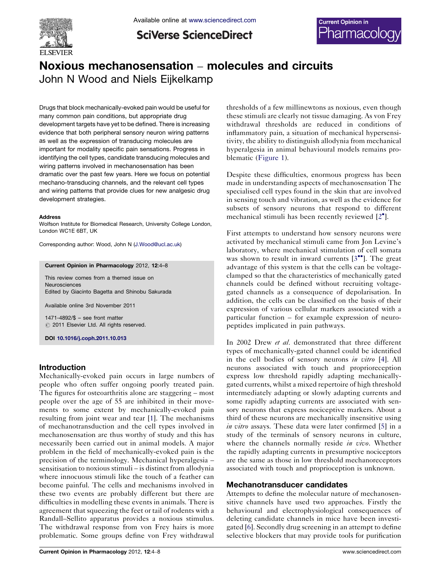

**SciVerse ScienceDirect** 



# Noxious mechanosensation – molecules and circuits John N Wood and Niels Eijkelkamp

Drugs that block mechanically-evoked pain would be useful for many common pain conditions, but appropriate drug development targets have yet to be defined. There is increasing evidence that both peripheral sensory neuron wiring patterns as well as the expression of transducing molecules are important for modality specific pain sensations. Progress in identifying the cell types, candidate transducing molecules and wiring patterns involved in mechanosensation has been dramatic over the past few years. Here we focus on potential mechano-transducing channels, and the relevant cell types and wiring patterns that provide clues for new analgesic drug development strategies.

#### Address

Wolfson Institute for Biomedical Research, University College London, London WC1E 6BT, UK

Corresponding author: Wood, John N [\(J.Wood@ucl.ac.uk\)](mailto:J.Wood@ucl.ac.uk)

Current Opinion in Pharmacology 2012, 12:4–8

This review comes from a themed issue on Neurosciences Edited by Giacinto Bagetta and Shinobu Sakurada

Available online 3rd November 2011

1471-4892/\$ – see front matter  $\circ$  2011 Elsevier Ltd. All rights reserved.

DOI [10.1016/j.coph.2011.10.013](http://dx.doi.org/10.1016/j.coph.2011.10.013)

#### Introduction

Mechanically-evoked pain occurs in large numbers of people who often suffer ongoing poorly treated pain. The figures for osteoarthritis alone are staggering – most people over the age of 55 are inhibited in their movements to some extent by mechanically-evoked pain resulting from joint wear and tear [[1\]](#page-3-0). The mechanisms of mechanotransduction and the cell types involved in mechanosensation are thus worthy of study and this has necessarily been carried out in animal models. A major problem in the field of mechanically-evoked pain is the precision of the terminology. Mechanical hyperalgesia – sensitisation to noxious stimuli – is distinct from allodynia where innocuous stimuli like the touch of a feather can become painful. The cells and mechanisms involved in these two events are probably different but there are difficulties in modelling these events in animals. There is agreement that squeezing the feet or tail of rodents with a Randall–Sellito apparatus provides a noxious stimulus. The withdrawal response from von Frey hairs is more problematic. Some groups define von Frey withdrawal

thresholds of a few millinewtons as noxious, even though these stimuli are clearly not tissue damaging. As von Frey withdrawal thresholds are reduced in conditions of inflammatory pain, a situation of mechanical hypersensitivity, the ability to distinguish allodynia from mechanical hyperalgesia in animal behavioural models remains problematic [\(Figure](#page-1-0) 1).

Despite these difficulties, enormous progress has been made in understanding aspects of mechanosensation The specialised cell types found in the skin that are involved in sensing touch and vibration, as well as the evidence for subsets of sensory neurons that respond to different mechanical stimuli has been recently reviewed [[2](#page-3-0)<sup>°</sup>].

First attempts to understand how sensory neurons were activated by mechanical stimuli came from Jon Levine's laboratory, where mechanical stimulation of cell somata was shown to result in inward currents  $[3^{\bullet\bullet}]$  $[3^{\bullet\bullet}]$ . The great advantage of this system is that the cells can be voltageclamped so that the characteristics of mechanically gated channels could be defined without recruiting voltagegated channels as a consequence of depolarisation. In addition, the cells can be classified on the basis of their expression of various cellular markers associated with a particular function – for example expression of neuropeptides implicated in pain pathways.

In 2002 Drew *et al.* demonstrated that three different types of mechanically-gated channel could be identified in the cell bodies of sensory neurons in vitro [\[4](#page-3-0)]. All neurons associated with touch and proprioreception express low threshold rapidly adapting mechanicallygated currents, whilst a mixed repertoire of high threshold intermediately adapting or slowly adapting currents and some rapidly adapting currents are associated with sensory neurons that express nociceptive markers. About a third of these neurons are mechanically insensitive using in vitro assays. These data were later confirmed [\[5](#page-3-0)] in a study of the terminals of sensory neurons in culture, where the channels normally reside in vivo. Whether the rapidly adapting currents in presumptive nociceptors are the same as those in low threshold mechanoreceptors associated with touch and proprioception is unknown.

#### Mechanotransducer candidates

Attempts to define the molecular nature of mechanosensitive channels have used two approaches. Firstly the behavioural and electrophysiological consequences of deleting candidate channels in mice have been investigated [[6\]](#page-3-0). Secondly drug screening in an attempt to define selective blockers that may provide tools for purification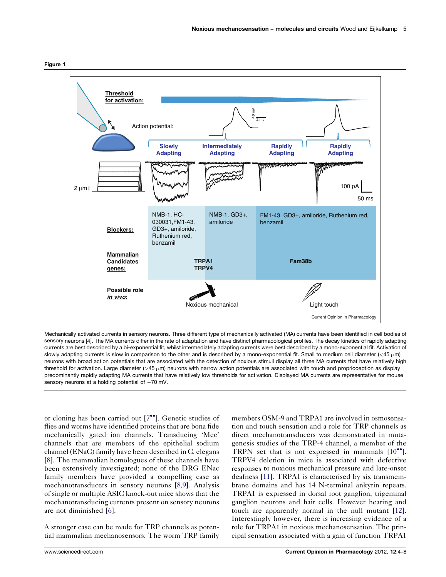<span id="page-1-0"></span>



Mechanically activated currents in sensory neurons. Three different type of mechanically activated (MA) currents have been identified in cell bodies of sensory neurons [[4](#page-3-0)]. The MA currents differ in the rate of adaptation and have distinct pharmacological profiles. The decay kinetics of rapidly adapting currents are best described by a bi-exponential fit, whilst intermediately adapting currents were best described by a mono-exponential fit. Activation of slowly adapting currents is slow in comparison to the other and is described by a mono-exponential fit. Small to medium cell diameter  $\langle$  <45  $\mu$ m) neurons with broad action potentials that are associated with the detection of noxious stimuli display all three MA currents that have relatively high threshold for activation. Large diameter  $(>45 \mu m)$  neurons with narrow action potentials are associated with touch and proprioception as display predominantly rapidly adapting MA currents that have relatively low thresholds for activation. Displayed MA currents are representative for mouse sensory neurons at a holding potential of  $-70$  mV.

or cloning has been carried out [[7](#page-4-0)"]. Genetic studies of flies and worms have identified proteins that are bona fide mechanically gated ion channels. Transducing 'Mec' channels that are members of the epithelial sodium channel (ENaC) family have been described in C. elegans [\[8](#page-4-0)]. The mammalian homologues of these channels have been extensively investigated; none of the DRG ENac family members have provided a compelling case as mechanotransducers in sensory neurons [\[8,9\]](#page-4-0). Analysis of single or multiple ASIC knock-out mice shows that the mechanotransducing currents present on sensory neurons are not diminished [\[6](#page-3-0)].

A stronger case can be made for TRP channels as potential mammalian mechanosensors. The worm TRP family members OSM-9 and TRPA1 are involved in osmosensation and touch sensation and a role for TRP channels as direct mechanotransducers was demonstrated in mutagenesis studies of the TRP-4 channel, a member of the TRPN set that is not expressed in mammals  $[10^{\bullet\bullet}]$  $[10^{\bullet\bullet}]$ . TRPV4 deletion in mice is associated with defective responses to noxious mechanical pressure and late-onset deafness [\[11](#page-4-0)]. TRPA1 is characterised by six transmembrane domains and has 14 N-terminal ankyrin repeats. TRPA1 is expressed in dorsal root ganglion, trigeminal ganglion neurons and hair cells. However hearing and touch are apparently normal in the null mutant [[12\]](#page-4-0). Interestingly however, there is increasing evidence of a role for TRPA1 in noxious mechanosensation. The principal sensation associated with a gain of function TRPA1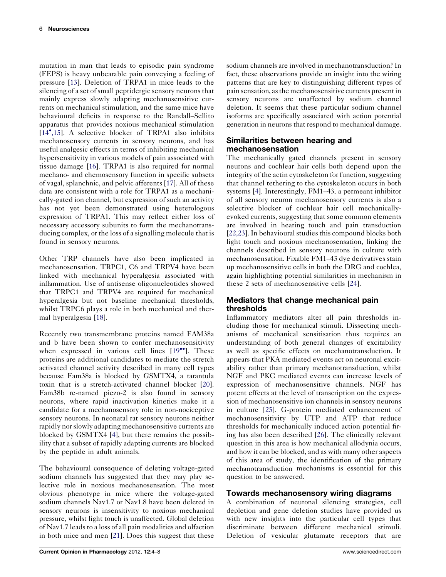mutation in man that leads to episodic pain syndrome (FEPS) is heavy unbearable pain conveying a feeling of pressure [\[13](#page-4-0)]. Deletion of TRPA1 in mice leads to the silencing of a set of small peptidergic sensory neurons that mainly express slowly adapting mechanosensitive currents on mechanical stimulation, and the same mice have behavioural deficits in response to the Randall–Sellito apparatus that provides noxious mechanical stimulation [\[14](#page-4-0)<sup>\*</sup>[,15](#page-4-0)]. A selective blocker of TRPA1 also inhibits mechanosensory currents in sensory neurons, and has useful analgesic effects in terms of inhibiting mechanical hypersensitivity in various models of pain associated with tissue damage [\[16](#page-4-0)]. TRPA1 is also required for normal mechano- and chemosensory function in specific subsets of vagal, splanchnic, and pelvic afferents [\[17](#page-4-0)]. All of these data are consistent with a role for TRPA1 as a mechanically-gated ion channel, but expression of such an activity has not yet been demonstrated using heterologous expression of TRPA1. This may reflect either loss of necessary accessory subunits to form the mechanotransducing complex, or the loss of a signalling molecule that is found in sensory neurons.

Other TRP channels have also been implicated in mechanosensation. TRPC1, C6 and TRPV4 have been linked with mechanical hyperalgesia associated with inflammation. Use of antisense oligonucleotides showed that TRPC1 and TRPV4 are required for mechanical hyperalgesia but not baseline mechanical thresholds, whilst TRPC6 plays a role in both mechanical and thermal hyperalgesia [\[18](#page-4-0)].

Recently two transmembrane proteins named FAM38a and b have been shown to confer mechanosensitivity when expressed in various cell lines [[19](#page-4-0)\*']. These proteins are additional candidates to mediate the stretch activated channel activity described in many cell types because Fam38a is blocked by GSMTX4, a tarantula toxin that is a stretch-activated channel blocker [\[20](#page-4-0)]. Fam38b re-named piezo-2 is also found in sensory neurons, where rapid inactivation kinetics make it a candidate for a mechanosensory role in non-nociceptive sensory neurons. In neonatal rat sensory neurons neither rapidly norslowly adapting mechanosensitive currents are blocked by GSMTX4 [[4\]](#page-3-0), but there remains the possibility that a subset of rapidly adapting currents are blocked by the peptide in adult animals.

The behavioural consequence of deleting voltage-gated sodium channels has suggested that they may play selective role in noxious mechanosensation. The most obvious phenotype in mice where the voltage-gated sodium channels Nav1.7 or Nav1.8 have been deleted in sensory neurons is insensitivity to noxious mechanical pressure, whilst light touch is unaffected. Global deletion of Nav1.7 leads to a loss of all pain modalities and olfaction in both mice and men [\[21\]](#page-4-0). Does this suggest that these

sodium channels are involved in mechanotransduction? In fact, these observations provide an insight into the wiring patterns that are key to distinguishing different types of pain sensation, asthe mechanosensitive currents presentin sensory neurons are unaffected by sodium channel deletion. It seems that these particular sodium channel isoforms are specifically associated with action potential generation in neurons that respond to mechanical damage.

## Similarities between hearing and mechanosensation

The mechanically gated channels present in sensory neurons and cochlear hair cells both depend upon the integrity of the actin cytoskeleton for function, suggesting that channel tethering to the cytoskeleton occurs in both systems [\[4](#page-3-0)]. Interestingly, FM1–43, a permeant inhibitor of all sensory neuron mechanosensory currents is also a selective blocker of cochlear hair cell mechanicallyevoked currents, suggesting that some common elements are involved in hearing touch and pain transduction [\[22,23\]](#page-4-0). In behavioural studies this compound blocks both light touch and noxious mechanosensation, linking the channels described in sensory neurons in culture with mechanosensation. Fixable FM1–43 dye derivatives stain up mechanosensitive cells in both the DRG and cochlea, again highlighting potential similarities in mechanism in these 2 sets of mechanosensitive cells [[24\]](#page-4-0).

#### Mediators that change mechanical pain thresholds

Inflammatory mediators alter all pain thresholds including those for mechanical stimuli. Dissecting mechanisms of mechanical sensitisation thus requires an understanding of both general changes of excitability as well as specific effects on mechanotransduction. It appears that PKA mediated events act on neuronal excitability rather than primary mechanotransduction, whilst NGF and PKC mediated events can increase levels of expression of mechanosensitive channels. NGF has potent effects at the level of transcription on the expression of mechanosensitive ion channels in sensory neurons in culture [\[25](#page-4-0)]. G-protein mediated enhancement of mechanosensitivity by UTP and ATP that reduce thresholds for mechanically induced action potential firing has also been described [\[26](#page-4-0)]. The clinically relevant question in this area is how mechanical allodynia occurs, and how it can be blocked, and as with many other aspects of this area of study, the identification of the primary mechanotransduction mechanisms is essential for this question to be answered.

## Towards mechanosensory wiring diagrams

A combination of neuronal silencing strategies, cell depletion and gene deletion studies have provided us with new insights into the particular cell types that discriminate between different mechanical stimuli. Deletion of vesicular glutamate receptors that are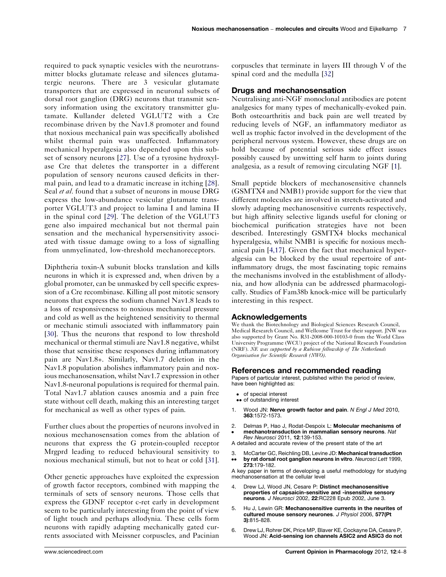<span id="page-3-0"></span>required to pack synaptic vesicles with the neurotransmitter blocks glutamate release and silences glutamatergic neurons. There are 3 vesicular glutamate transporters that are expressed in neuronal subsets of dorsal root ganglion (DRG) neurons that transmit sensory information using the excitatory transmitter glutamate. Kullander deleted VGLUT2 with a Cre recombinase driven by the Nav1.8 promoter and found that noxious mechanical pain was specifically abolished whilst thermal pain was unaffected. Inflammatory mechanical hyperalgesia also depended upon this subset of sensory neurons [[27](#page-4-0)]. Use of a tyrosine hydroxylase Cre that deletes the transporter in a different population of sensory neurons caused deficits in thermal pain, and lead to a dramatic increase in itching [[28](#page-4-0)]. Seal et al. found that a subset of neurons in mouse DRG express the low-abundance vesicular glutamate transporter VGLUT3 and project to lamina I and lamina II in the spinal cord [\[29\]](#page-4-0). The deletion of the VGLUT3 gene also impaired mechanical but not thermal pain sensation and the mechanical hypersensitivity associated with tissue damage owing to a loss of signalling from unmyelinated, low-threshold mechanoreceptors.

Diphtheria toxin-A subunit blocks translation and kills neurons in which it is expressed and, when driven by a global promoter, can be unmasked by cell specific expression of a Cre recombinase. Killing all post mitotic sensory neurons that express the sodium channel Nav1.8 leads to a loss of responsiveness to noxious mechanical pressure and cold as well as the heightened sensitivity to thermal or mechanic stimuli associated with inflammatory pain [\[30](#page-4-0)]. Thus the neurons that respond to low threshold mechanical or thermal stimuli are Nav1.8 negative, whilst those that sensitise these responses during inflammatory pain are Nav1.8+. Similarly, Nav1.7 deletion in the Nav1.8 population abolishes inflammatory pain and noxious mechanosensation, whilst Nav1.7 expression in other Nav1.8-neuronal populations is required for thermal pain. Total Nav1.7 ablation causes anosmia and a pain free state without cell death, making this an interesting target for mechanical as well as other types of pain.

Further clues about the properties of neurons involved in noxious mechanosensation comes from the ablation of neurons that express the G protein-coupled receptor Mrgprd leading to reduced behavioural sensitivity to noxious mechanical stimuli, but not to heat or cold [\[31](#page-4-0)].

Other genetic approaches have exploited the expression of growth factor receptors, combined with mapping the terminals of sets of sensory neurons. Those cells that express the GDNF receptor c-ret early in development seem to be particularly interesting from the point of view of light touch and perhaps allodynia. These cells form neurons with rapidly adapting mechanically gated currents associated with Meissner corpuscles, and Pacinian corpuscles that terminate in layers III through V of the spinal cord and the medulla [\[32](#page-4-0)]

#### Drugs and mechanosensation

Neutralising anti-NGF monoclonal antibodies are potent analgesics for many types of mechanically-evoked pain. Both osteoarthritis and back pain are well treated by reducing levels of NGF, an inflammatory mediator as well as trophic factor involved in the development of the peripheral nervous system. However, these drugs are on hold because of potential serious side effect issues possibly caused by unwitting self harm to joints during analgesia, as a result of removing circulating NGF [1].

Small peptide blockers of mechanosensitive channels (GSMTX4 and NMB1) provide support for the view that different molecules are involved in stretch-activated and slowly adapting mechanosensitive currents respectively, but high affinity selective ligands useful for cloning or biochemical purification strategies have not been described. Interestingly GSMTX4 blocks mechanical hyperalgesia, whilst NMB1 is specific for noxious mechanical pain [4,17]. Given the fact that mechanical hyperalgesia can be blocked by the usual repertoire of antinflammatory drugs, the most fascinating topic remains the mechanisms involved in the establishment of allodynia, and how allodynia can be addressed pharmacologically. Studies of Fam38b knock-mice will be particularly interesting in this respect.

#### Acknowledgements

We thank the Biotechnology and Biological Sciences Research Council, Medical Research Council, and Wellcome Trust for their support. JNW was also supported by Grant No. R31-2008-000-10103-0 from the World Class University Programme (WCU) project of the National Research Foundation (NRF). NE was supported by a Rubicon fellowship of The Netherlands Organisation for Scientific Research (NWO).

#### References and recommended reading

Papers of particular interest, published within the period of review, have been highlighted as:

- of special interest
- •• of outstanding interest
- 1. Wood JN: Nerve growth factor and pain. N Engl J Med 2010, 363:1572-1573.
- 2. -Delmas P, Hao J, Rodat-Despoix L: Molecular mechanisms of mechanotransduction in mammalian sensory neurons. Nat
- Rev Neurosci 2011, 12:139-153. A detailed and accurate review of the present state of the art
- 3. --McCarter GC, Reichling DB, Levine JD: Mechanical transduction by rat dorsal root ganglion neurons in vitro. Neurosci Lett 1999, 273:179-182.

A key paper in terms of developing a useful methodology for studying mechanosensation at the cellular level

- 4. Drew LJ, Wood JN, Cesare P: Distinct mechanosensitive properties of capsaicin-sensitive and -insensitive sensory neurons. J Neurosci 2002, 22:RC228 Epub 2002, June 3.
- 5. Hu J, Lewin GR: Mechanosensitive currents in the neurites of cultured mouse sensory neurones. J Physiol 2006, 577(Pt 3):815-828.
- 6. Drew LJ, Rohrer DK, Price MP, Blaver KE, Cockayne DA, Cesare P, Wood JN: Acid-sensing ion channels ASIC2 and ASIC3 do not